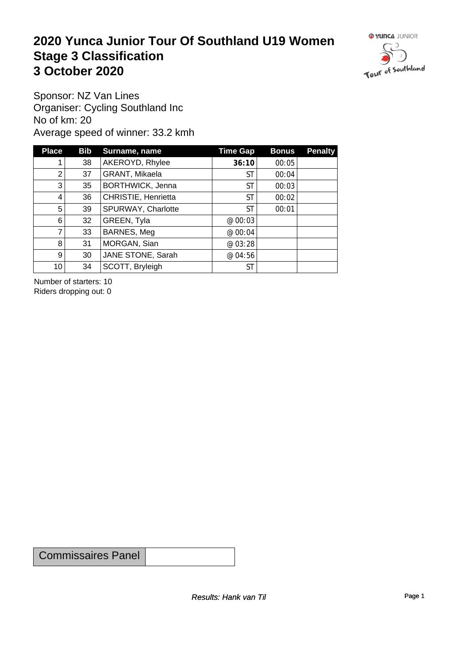#### **2020 Yunca Junior Tour Of Southland U19 Women** Stage 3 Classification<br>
3 October 2020 **3 October 2020**



Sponsor: NZ Van Lines Organiser: Cycling Southland Inc No of km: 20 Average speed of winner: 33.2 kmh

| <b>Place</b>    | Bib | Surname, name       | Time Gap  | <b>Bonus</b> | Penalty |
|-----------------|-----|---------------------|-----------|--------------|---------|
|                 | 38  | AKEROYD, Rhylee     | 36:10     | 00:05        |         |
| 2               | 37  | GRANT, Mikaela      | ST        | 00:04        |         |
| 3               | 35  | BORTHWICK, Jenna    | ST        | 00:03        |         |
| 4               | 36  | CHRISTIE, Henrietta | ST        | 00:02        |         |
| 5               | 39  | SPURWAY, Charlotte  | ST        | 00:01        |         |
| 6               | 32  | GREEN, Tyla         | @ 00:03   |              |         |
| 7               | 33  | BARNES, Meg         | @ 00:04   |              |         |
| 8               | 31  | MORGAN, Sian        | @03:28    |              |         |
| 9 <sup>1</sup>  | 30  | JANE STONE, Sarah   | @ 04:56   |              |         |
| 10 <sub>1</sub> | 34  | SCOTT, Bryleigh     | <b>ST</b> |              |         |

Number of starters: 10 Riders dropping out: 0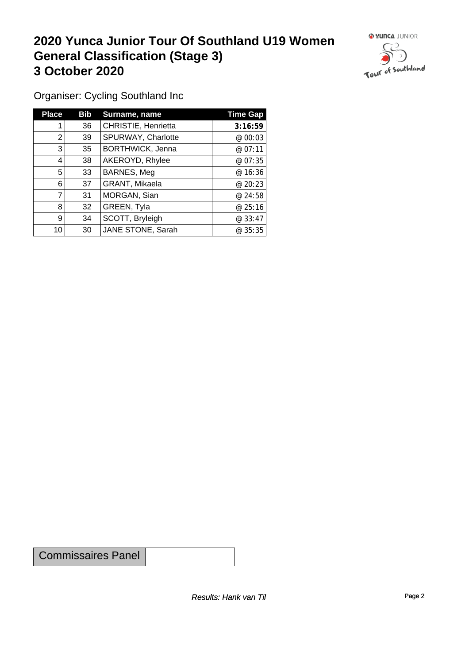#### **2020 Yunca Junior Tour Of Southland U19 Women General Classification (Stage 3)**<br> **3 October 2020 3 October 2020**



Organiser: Cycling Southland Inc

| <b>Place</b> | Bib | Surname, name           | <b>Time Gap</b> |
|--------------|-----|-------------------------|-----------------|
|              | 36  | CHRISTIE, Henrietta     | 3:16:59         |
| 2            | 39  | SPURWAY, Charlotte      | @ 00:03         |
| 3            | 35  | <b>BORTHWICK, Jenna</b> | @ 07:11         |
| 4            | 38  | AKEROYD, Rhylee         | @ 07:35         |
| 5            | 33  | BARNES, Meg             | @ 16:36         |
| 6            | 37  | GRANT, Mikaela          | @ 20:23         |
| 7            | 31  | MORGAN, Sian            | @24:58          |
| 8            | 32  | GREEN, Tyla             | @25:16          |
| 9            | 34  | SCOTT, Bryleigh         | @33:47          |
| 10           | 30  | JANE STONE, Sarah       | @35:35          |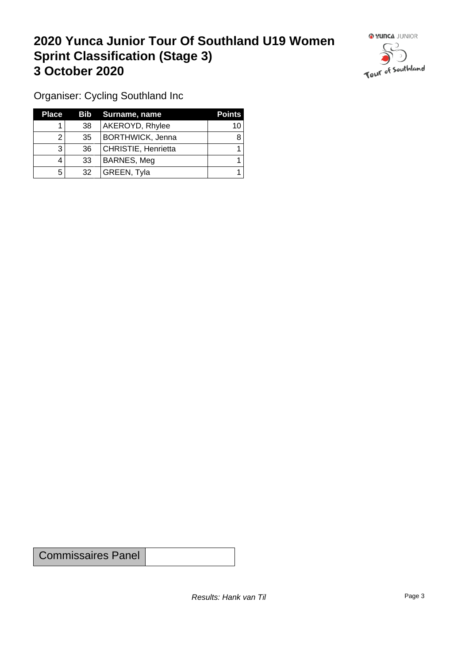## **2020 Yunca Junior Tour Of Southland U19 Women Sprint Classification (Stage 3) 3 October 2020**



Organiser: Cycling Southland Inc

| <b>Place</b> |                 | Bib Surname, name       | <b>Points</b> |
|--------------|-----------------|-------------------------|---------------|
|              | 38              | AKEROYD, Rhylee         | 10            |
|              | 35 <sup>1</sup> | <b>BORTHWICK, Jenna</b> |               |
| 3            | 36              | CHRISTIE, Henrietta     |               |
|              | 33              | BARNES, Meg             |               |
| 5            | 32              | GREEN, Tyla             |               |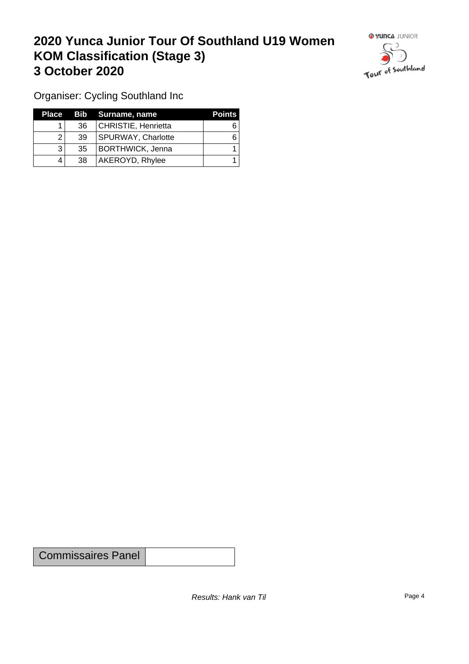## **2020 Yunca Junior Tour Of Southland U19 Women KOM Classification (Stage 3) 3 October 2020 1999 1999 1999 1999 1999 1999 1999 1999 1999 1999 1999 1999 1999 1999 1999 1999 1999 1999 1999 1999 1999 1999 1999 1999 1999 1999 1999 1999 1999 1**



Organiser: Cycling Southland Inc

| Place |                 | Bib Surname, name         | <b>Points</b> |
|-------|-----------------|---------------------------|---------------|
|       | 36              | CHRISTIE, Henrietta       |               |
|       | 39              | <b>SPURWAY, Charlotte</b> |               |
|       | 35 <sup>2</sup> | BORTHWICK, Jenna          |               |
|       | 38              | AKEROYD, Rhylee           |               |